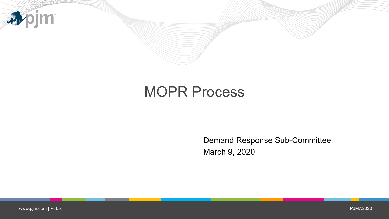

# MOPR Process

Demand Response Sub-Committee March 9, 2020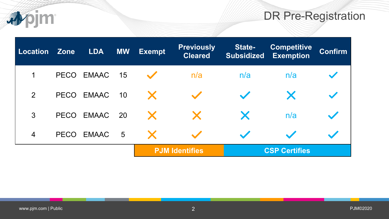## DR Pre-Registration

| Location Zone  |             | <b>LDA</b>         | <b>MW</b> | <b>Exempt</b> | <b>Previously</b><br><b>Cleared</b> | <b>State-</b><br><b>Subsidized</b> | <b>Competitive</b><br><b>Exemption</b> | <b>Confirm</b> |
|----------------|-------------|--------------------|-----------|---------------|-------------------------------------|------------------------------------|----------------------------------------|----------------|
| $\mathbf 1$    | <b>PECO</b> | EMAAC 15           |           |               | n/a                                 | n/a                                | n/a                                    |                |
| 2              | <b>PECO</b> | EMAAC 10           |           | $\mathbf{X}$  |                                     |                                    |                                        |                |
| 3              | <b>PECO</b> | EMAAC 20           |           | X             | $\mathbf{X}$                        | X                                  | n/a                                    |                |
| $\overline{4}$ | <b>PECO</b> | EMAAC <sub>5</sub> |           |               |                                     | $\overline{\phantom{a}}$           |                                        |                |
|                |             |                    |           |               | <b>PJM Identifies</b>               |                                    | <b>CSP Certifies</b>                   |                |

**Digital**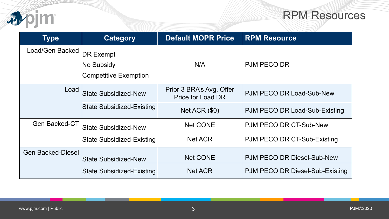

### RPM Resources

| <b>Type</b>              | <b>Category</b>                  | <b>Default MOPR Price</b>                            | <b>RPM Resource</b>             |
|--------------------------|----------------------------------|------------------------------------------------------|---------------------------------|
| Load/Gen Backed          | <b>DR Exempt</b>                 |                                                      |                                 |
|                          | No Subsidy                       | N/A                                                  | <b>PJM PECO DR</b>              |
|                          | <b>Competitive Exemption</b>     |                                                      |                                 |
| Load                     | <b>State Subsidized-New</b>      | Prior 3 BRA's Avg. Offer<br><b>Price for Load DR</b> | PJM PECO DR Load-Sub-New        |
|                          | <b>State Subsidized-Existing</b> | Net ACR $($0)$                                       | PJM PECO DR Load-Sub-Existing   |
| <b>Gen Backed-CT</b>     | <b>State Subsidized-New</b>      | <b>Net CONE</b>                                      | PJM PECO DR CT-Sub-New          |
|                          | <b>State Subsidized-Existing</b> | <b>Net ACR</b>                                       | PJM PECO DR CT-Sub-Existing     |
| <b>Gen Backed-Diesel</b> | <b>State Subsidized-New</b>      | <b>Net CONE</b>                                      | PJM PECO DR Diesel-Sub-New      |
|                          | <b>State Subsidized-Existing</b> | <b>Net ACR</b>                                       | PJM PECO DR Diesel-Sub-Existing |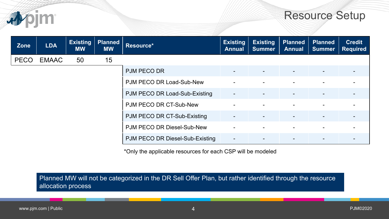

### Resource Setup

| <b>Zone</b> | <b>LDA</b>   | <b>Existing</b><br><b>MW</b> | <b>Planned</b><br><b>MW</b> | Resource*                       | <b>Existing</b><br><b>Annual</b> | Existing<br><b>Summer</b> | <b>Planned</b><br><b>Annual</b> | <b>Planned</b><br><b>Summer</b> | <b>Credit</b><br><b>Required</b> |
|-------------|--------------|------------------------------|-----------------------------|---------------------------------|----------------------------------|---------------------------|---------------------------------|---------------------------------|----------------------------------|
| <b>PECO</b> | <b>EMAAC</b> | 50                           | 15                          |                                 |                                  |                           |                                 |                                 |                                  |
|             |              |                              |                             | <b>PJM PECO DR</b>              |                                  |                           |                                 |                                 |                                  |
|             |              |                              |                             | PJM PECO DR Load-Sub-New        |                                  |                           |                                 |                                 |                                  |
|             |              |                              |                             | PJM PECO DR Load-Sub-Existing   | $\blacksquare$                   |                           |                                 | $\blacksquare$                  |                                  |
|             |              |                              |                             | PJM PECO DR CT-Sub-New          |                                  |                           |                                 |                                 |                                  |
|             |              |                              |                             | PJM PECO DR CT-Sub-Existing     |                                  |                           |                                 |                                 |                                  |
|             |              |                              |                             | PJM PECO DR Diesel-Sub-New      |                                  |                           |                                 |                                 |                                  |
|             |              |                              |                             | PJM PECO DR Diesel-Sub-Existing | $\blacksquare$                   |                           |                                 | $\blacksquare$                  |                                  |

\*Only the applicable resources for each CSP will be modeled

Planned MW will not be categorized in the DR Sell Offer Plan, but rather identified through the resource allocation process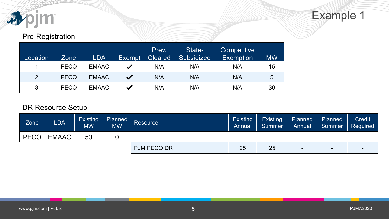

### Pre-Registration

| Location | Zone        | <b>LDA</b>   | Exempt                | Prev.<br><b>Cleared</b> | State-<br><b>Subsidized</b> | Competitive<br><b>Exemption</b> | <b>MW</b> |
|----------|-------------|--------------|-----------------------|-------------------------|-----------------------------|---------------------------------|-----------|
|          | <b>PECO</b> | <b>EMAAC</b> | $\blacktriangleright$ | N/A                     | N/A                         | N/A                             | 15        |
| 2        | <b>PECO</b> | <b>EMAAC</b> | $\checkmark$          | N/A                     | N/A                         | N/A                             | 5         |
| 3        | <b>PECO</b> | <b>EMAAC</b> | $\checkmark$          | N/A                     | N/A                         | N/A                             | 30        |

| Zone        | <b>LDA</b>   | <b>Existing</b><br><b>MW</b> | Planned<br>MW. | Resource <sup>1</sup> | <b>Existing</b><br>Annual | <b>Existing</b><br>Summer | Planned<br>Annual | Planned<br>Summer        | <b>Credit</b><br>Required |
|-------------|--------------|------------------------------|----------------|-----------------------|---------------------------|---------------------------|-------------------|--------------------------|---------------------------|
| <b>PECO</b> | <b>EMAAC</b> | 50                           |                |                       |                           |                           |                   |                          |                           |
|             |              |                              |                | <b>PJM PECO DR</b>    | 25                        | 25                        | -                 | $\overline{\phantom{a}}$ | -                         |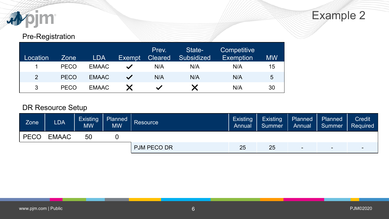

### Pre-Registration

| Location | <b>Zone</b> | <b>LDA</b>   | <b>Exempt</b> | Prev.<br><b>Cleared</b> | State-<br><b>Subsidized</b> | Competitive<br><b>Exemption</b> | <b>MW</b> |
|----------|-------------|--------------|---------------|-------------------------|-----------------------------|---------------------------------|-----------|
|          | <b>PECO</b> | <b>EMAAC</b> |               | N/A                     | N/A                         | N/A                             | 15        |
| 2        | <b>PECO</b> | <b>EMAAC</b> | $\checkmark$  | N/A                     | N/A                         | N/A                             | 5         |
| 3        | <b>PECO</b> | <b>EMAAC</b> |               |                         |                             | N/A                             | 30        |

| Zone        | <b>LDA</b>   | <b>Existing</b><br><b>MW</b> | Planned<br>MW. | <b>Resource</b>    | <b>Existing</b><br>Annual | <b>Existing</b><br><b>Summer</b> | Planned<br>Annual | Planned<br>Summer        | <b>Credit</b><br>Required |
|-------------|--------------|------------------------------|----------------|--------------------|---------------------------|----------------------------------|-------------------|--------------------------|---------------------------|
| <b>PECO</b> | <b>EMAAC</b> | 50                           |                |                    |                           |                                  |                   |                          |                           |
|             |              |                              |                | <b>PJM PECO DR</b> | 25                        | 25                               | -                 | $\overline{\phantom{a}}$ |                           |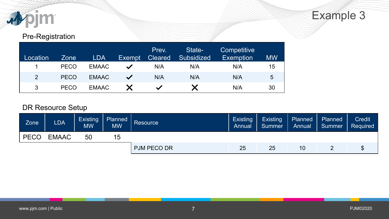

### Pre-Registration

| Location | <b>Zone</b> | <b>LDA</b>   | <b>Exempt</b> | Prev.<br><b>Cleared</b> | State-<br><b>Subsidized</b> | Competitive<br><b>Exemption</b> | <b>MW</b> |
|----------|-------------|--------------|---------------|-------------------------|-----------------------------|---------------------------------|-----------|
|          | <b>PECO</b> | <b>EMAAC</b> | $\checkmark$  | N/A                     | N/A                         | N/A                             | 15        |
| 2        | <b>PECO</b> | <b>EMAAC</b> | $\checkmark$  | N/A                     | N/A                         | N/A                             | 5         |
| 3        | <b>PECO</b> | <b>EMAAC</b> |               | $\checkmark$            |                             | N/A                             | 30        |

| <b>Zone</b> | <b>LDA</b>   | <b>Existing</b><br><b>MW</b> | Planned<br><b>MW</b> | Resource           | <b>Existing</b><br>Annual | <b>Existing</b><br><b>Summer</b> | Planned<br>Annual | Planned<br>Summer | <b>Credit</b><br>Required |
|-------------|--------------|------------------------------|----------------------|--------------------|---------------------------|----------------------------------|-------------------|-------------------|---------------------------|
| <b>PECO</b> | <b>EMAAC</b> | 50                           | 15                   |                    |                           |                                  |                   |                   |                           |
|             |              |                              |                      | <b>PJM PECO DR</b> | 25                        | 25                               | 10                |                   |                           |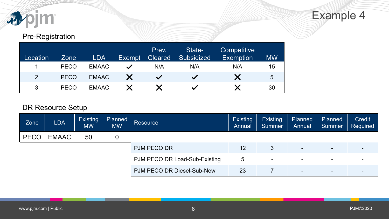

### Pre-Registration

| Location | <b>Zone</b> | <b>LDA</b>   | <b>Exempt</b> | Prev.<br><b>Cleared</b> | State-<br><b>Subsidized</b> | Competitive <sup>1</sup><br><b>Exemption</b> | <b>MW</b> |
|----------|-------------|--------------|---------------|-------------------------|-----------------------------|----------------------------------------------|-----------|
|          | <b>PECO</b> | <b>EMAAC</b> | $\checkmark$  | N/A                     | N/A                         | N/A                                          | 15        |
| 2        | <b>PECO</b> | <b>EMAAC</b> |               | $\checkmark$            | $\checkmark$                |                                              | 5         |
| 3        | <b>PECO</b> | <b>EMAAC</b> |               |                         | $\checkmark$                |                                              | 30        |

| Zone        | <b>LDA</b>   | <b>Existing</b><br><b>MW</b> | Planned<br><b>MW</b> | Resource                      | <b>Existing</b><br>Annual | <b>Existing</b><br>Summer | Planned<br>Annual        | Planned<br>Summer        | <b>Credit</b><br>Required |
|-------------|--------------|------------------------------|----------------------|-------------------------------|---------------------------|---------------------------|--------------------------|--------------------------|---------------------------|
| <b>PECO</b> | <b>EMAAC</b> | 50                           | 0                    |                               |                           |                           |                          |                          |                           |
|             |              |                              |                      | <b>PJM PECO DR</b>            | 12                        | 3                         | $\overline{\phantom{0}}$ | $\blacksquare$           | $\overline{\phantom{0}}$  |
|             |              |                              |                      | PJM PECO DR Load-Sub-Existing | 5                         | $\blacksquare$            | $\sim$                   | $\overline{\phantom{0}}$ | $\blacksquare$            |
|             |              |                              |                      | PJM PECO DR Diesel-Sub-New    | 23                        |                           | $\blacksquare$           | $\overline{\phantom{0}}$ | $\overline{\phantom{0}}$  |